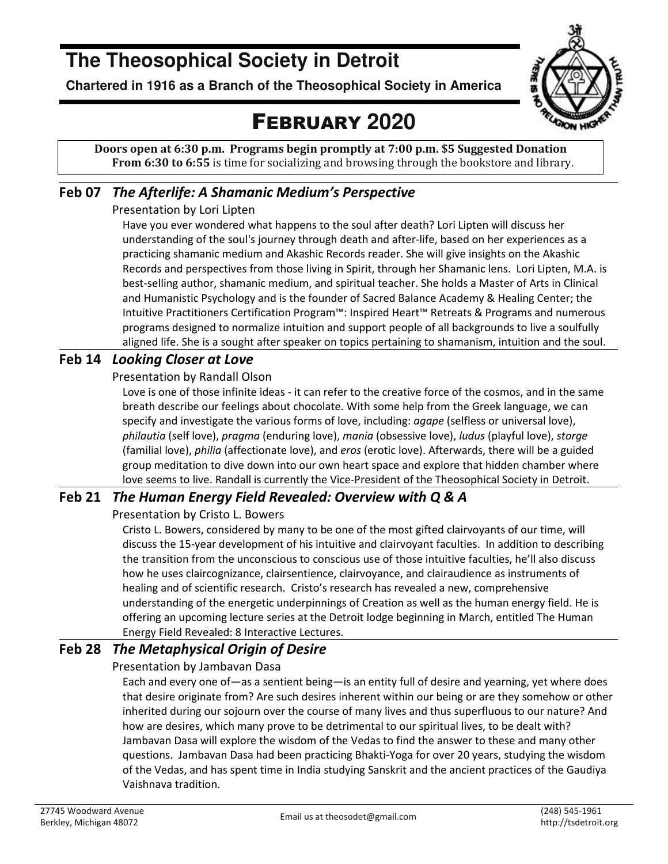# **The Theosophical Society in Detroit**

**Chartered in 1916 as a Branch of the Theosophical Society in America** 



# FEBRUARY **2020**

**Doors open at 6:30 p.m. Programs begin promptly at 7:00 p.m. \$5 Suggested Donation From 6:30 to 6:55** is time for socializing and browsing through the bookstore and library.

## **Feb 07** *The Afterlife: A Shamanic Medium's Perspective*

## Presentation by Lori Lipten

Have you ever wondered what happens to the soul after death? Lori Lipten will discuss her understanding of the soul's journey through death and after-life, based on her experiences as a practicing shamanic medium and Akashic Records reader. She will give insights on the Akashic Records and perspectives from those living in Spirit, through her Shamanic lens. Lori Lipten, M.A. is best-selling author, shamanic medium, and spiritual teacher. She holds a Master of Arts in Clinical and Humanistic Psychology and is the founder of Sacred Balance Academy & Healing Center; the Intuitive Practitioners Certification Program™: Inspired Heart™ Retreats & Programs and numerous programs designed to normalize intuition and support people of all backgrounds to live a soulfully aligned life. She is a sought after speaker on topics pertaining to shamanism, intuition and the soul.

## **Feb 14** *Looking Closer at Love*

### Presentation by Randall Olson

Love is one of those infinite ideas - it can refer to the creative force of the cosmos, and in the same breath describe our feelings about chocolate. With some help from the Greek language, we can specify and investigate the various forms of love, including: *agape* (selfless or universal love), *philautia* (self love), *pragma* (enduring love), *mania* (obsessive love), *ludus* (playful love), *storge* (familial love), *philia* (affectionate love), and *eros* (erotic love). Afterwards, there will be a guided group meditation to dive down into our own heart space and explore that hidden chamber where love seems to live. Randall is currently the Vice-President of the Theosophical Society in Detroit.

## **Feb 21** *The Human Energy Field Revealed: Overview with Q & A*

### Presentation by Cristo L. Bowers

Cristo L. Bowers, considered by many to be one of the most gifted clairvoyants of our time, will discuss the 15-year development of his intuitive and clairvoyant faculties. In addition to describing the transition from the unconscious to conscious use of those intuitive faculties, he'll also discuss how he uses claircognizance, clairsentience, clairvoyance, and clairaudience as instruments of healing and of scientific research. Cristo's research has revealed a new, comprehensive understanding of the energetic underpinnings of Creation as well as the human energy field. He is offering an upcoming lecture series at the Detroit lodge beginning in March, entitled The Human Energy Field Revealed: 8 Interactive Lectures.

## **Feb 28** *The Metaphysical Origin of Desire*

## Presentation by Jambavan Dasa

Each and every one of—as a sentient being—is an entity full of desire and yearning, yet where does that desire originate from? Are such desires inherent within our being or are they somehow or other inherited during our sojourn over the course of many lives and thus superfluous to our nature? And how are desires, which many prove to be detrimental to our spiritual lives, to be dealt with? Jambavan Dasa will explore the wisdom of the Vedas to find the answer to these and many other questions. Jambavan Dasa had been practicing Bhakti-Yoga for over 20 years, studying the wisdom of the Vedas, and has spent time in India studying Sanskrit and the ancient practices of the Gaudiya Vaishnava tradition.